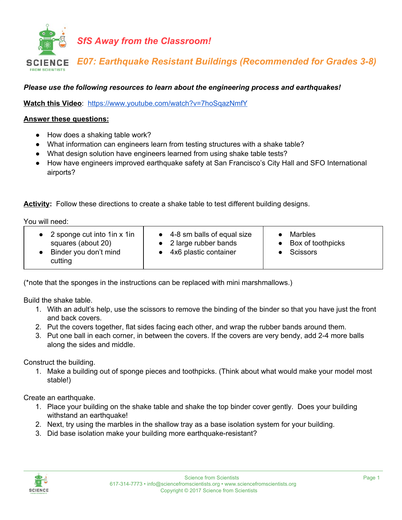

## *Please use the following resources to learn about the engineering process and earthquakes!*

**Watch this Video**: <https://www.youtube.com/watch?v=7hoSqazNmfY>

## **Answer these questions:**

- How does a shaking table work?
- What information can engineers learn from testing structures with a shake table?
- What design solution have engineers learned from using shake table tests?
- How have engineers improved earthquake safety at San Francisco's City Hall and SFO International airports?

**Activity:** Follow these directions to create a shake table to test different building designs.

You will need:

| • 2 sponge cut into $1$ in x $1$ in<br>squares (about 20)<br>Binder you don't mind<br>cutting | $\bullet$ 4-8 sm balls of equal size<br>• 2 large rubber bands<br>• 4x6 plastic container | <b>Marbles</b><br>• Box of toothpicks<br>Scissors |
|-----------------------------------------------------------------------------------------------|-------------------------------------------------------------------------------------------|---------------------------------------------------|
|-----------------------------------------------------------------------------------------------|-------------------------------------------------------------------------------------------|---------------------------------------------------|

(\*note that the sponges in the instructions can be replaced with mini marshmallows.)

Build the shake table.

- 1. With an adult's help, use the scissors to remove the binding of the binder so that you have just the front and back covers.
- 2. Put the covers together, flat sides facing each other, and wrap the rubber bands around them.
- 3. Put one ball in each corner, in between the covers. If the covers are very bendy, add 2-4 more balls along the sides and middle.

Construct the building.

1. Make a building out of sponge pieces and toothpicks. (Think about what would make your model most stable!)

Create an earthquake.

- 1. Place your building on the shake table and shake the top binder cover gently. Does your building withstand an earthquake!
- 2. Next, try using the marbles in the shallow tray as a base isolation system for your building.
- 3. Did base isolation make your building more earthquake-resistant?